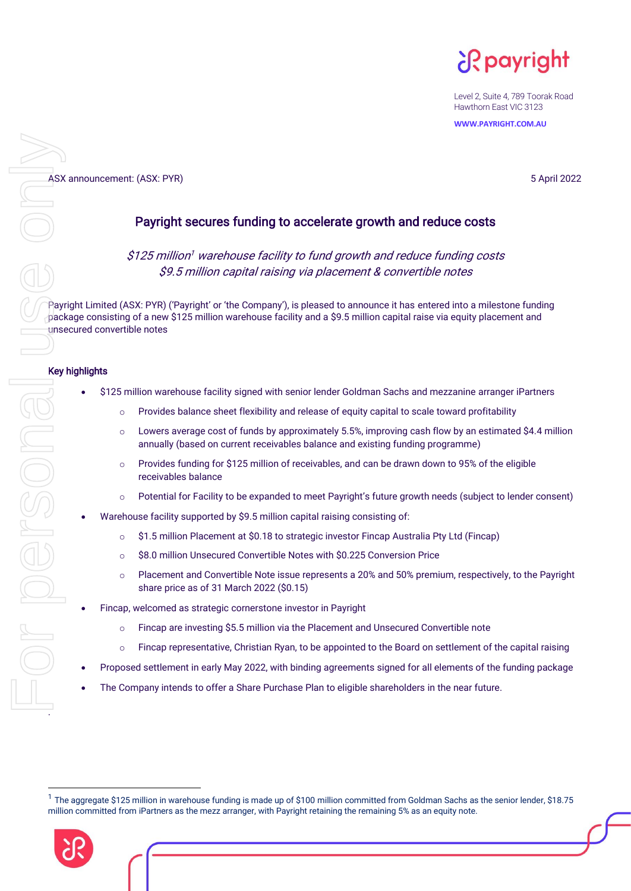¿R payright

Level 2, Suite 4, 789 Toorak Road Hawthorn East VIC 3123

**WWW.PAYRIGHT.COM.AU**

# ASX announcement: (ASX: PYR)<br> **ASX** announcement: (ASX: PYR)<br> **Payright secures funding to accelerate growth and reduce costs** Payright secures funding to accelerate growth and reduce costs

\$125 million <sup>1</sup> warehouse facility to fund growth and reduce funding costs \$9.5 million capital raising via placement & convertible notes

Payright Limited (ASX: PYR) ('Payright' or 'the Company'), is pleased to announce it has entered into a milestone funding  $\tau$  package consisting of a new \$125 million warehouse facility and a \$9.5 million capital raise via equity placement and unsecured convertible notes

# Key highlights

- \$125 million warehouse facility signed with senior lender Goldman Sachs and mezzanine arranger iPartners
	- o Provides balance sheet flexibility and release of equity capital to scale toward profitability
	- $\circ$  Lowers average cost of funds by approximately 5.5%, improving cash flow by an estimated \$4.4 million annually (based on current receivables balance and existing funding programme)
	- $\circ$  Provides funding for \$125 million of receivables, and can be drawn down to 95% of the eligible receivables balance
	- o Potential for Facility to be expanded to meet Payright's future growth needs (subject to lender consent)
- Warehouse facility supported by \$9.5 million capital raising consisting of:
	- o \$1.5 million Placement at \$0.18 to strategic investor Fincap Australia Pty Ltd (Fincap)
	- o \$8.0 million Unsecured Convertible Notes with \$0.225 Conversion Price
	- o Placement and Convertible Note issue represents a 20% and 50% premium, respectively, to the Payright share price as of 31 March 2022 (\$0.15)
- Fincap, welcomed as strategic cornerstone investor in Payright
	- o Fincap are investing \$5.5 million via the Placement and Unsecured Convertible note
	- $\circ$  Fincap representative, Christian Ryan, to be appointed to the Board on settlement of the capital raising
- Proposed settlement in early May 2022, with binding agreements signed for all elements of the funding package
- The Company intends to offer a Share Purchase Plan to eligible shareholders in the near future.

<sup>&</sup>lt;sup>1</sup> The aggregate \$125 million in warehouse funding is made up of \$100 million committed from Goldman Sachs as the senior lender, \$18.75 million committed from iPartners as the mezz arranger, with Payright retaining the remaining 5% as an equity note.

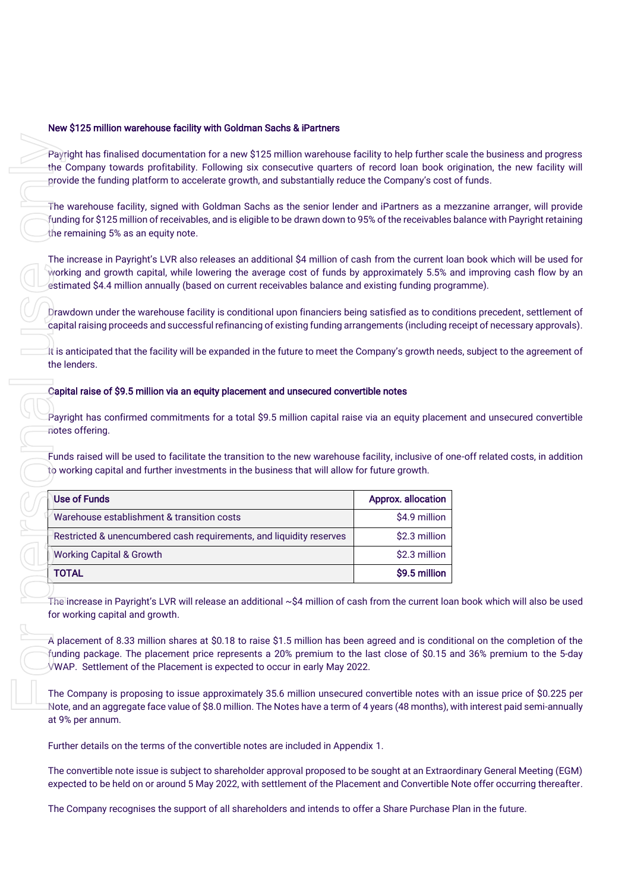# New \$125 million warehouse facility with Goldman Sachs & iPartners

Payright has finalised documentation for a new \$125 million warehouse facility to help further scale the business and progress the Company towards profitability. Following six consecutive quarters of record loan book origination, the new facility will provide the funding platform to accelerate growth, and substantially reduce the Company's cost of funds.

The warehouse facility, signed with Goldman Sachs as the senior lender and iPartners as a mezzanine arranger, will provide funding for \$125 million of receivables, and is eligible to be drawn down to 95% of the receivables balance with Payright retaining the remaining 5% as an equity note.

The increase in Payright's LVR also releases an additional \$4 million of cash from the current loan book which will be used for working and growth capital, while lowering the average cost of funds by approximately 5.5% and improving cash flow by an estimated \$4.4 million annually (based on current receivables balance and existing funding programme).

Drawdown under the warehouse facility is conditional upon financiers being satisfied as to conditions precedent, settlement of capital raising proceeds and successful refinancing of existing funding arrangements (including receipt of necessary approvals).

It is anticipated that the facility will be expanded in the future to meet the Company's growth needs, subject to the agreement of the lenders.

#### Capital raise of \$9.5 million via an equity placement and unsecured convertible notes

Payright has confirmed commitments for a total \$9.5 million capital raise via an equity placement and unsecured convertible notes offering.

Funds raised will be used to facilitate the transition to the new warehouse facility, inclusive of one-off related costs, in addition to working capital and further investments in the business that will allow for future growth.

| Payright has finalised documentation for a new \$125 million warehouse facility to help further scale the business<br>the Company towards profitability. Following six consecutive quarters of record loan book origination, the ne<br>provide the funding platform to accelerate growth, and substantially reduce the Company's cost of funds.                                                                                                                              |                           |  |  |  |
|------------------------------------------------------------------------------------------------------------------------------------------------------------------------------------------------------------------------------------------------------------------------------------------------------------------------------------------------------------------------------------------------------------------------------------------------------------------------------|---------------------------|--|--|--|
| The warehouse facility, signed with Goldman Sachs as the senior lender and iPartners as a mezzanine arrange<br>funding for \$125 million of receivables, and is eligible to be drawn down to 95% of the receivables balance with Pay<br>the remaining 5% as an equity note.                                                                                                                                                                                                  |                           |  |  |  |
| The increase in Payright's LVR also releases an additional \$4 million of cash from the current loan book which w<br>working and growth capital, while lowering the average cost of funds by approximately 5.5% and improving ca<br>estimated \$4.4 million annually (based on current receivables balance and existing funding programme).                                                                                                                                  |                           |  |  |  |
| Drawdown under the warehouse facility is conditional upon financiers being satisfied as to conditions precedent,<br>capital raising proceeds and successful refinancing of existing funding arrangements (including receipt of necessa                                                                                                                                                                                                                                       |                           |  |  |  |
| It is anticipated that the facility will be expanded in the future to meet the Company's growth needs, subject to the<br>the lenders.                                                                                                                                                                                                                                                                                                                                        |                           |  |  |  |
| Payright has confirmed commitments for a total \$9.5 million capital raise via an equity placement and unsecure                                                                                                                                                                                                                                                                                                                                                              |                           |  |  |  |
| notes offering.<br>Funds raised will be used to facilitate the transition to the new warehouse facility, inclusive of one-off related cos<br>to working capital and further investments in the business that will allow for future growth.                                                                                                                                                                                                                                   |                           |  |  |  |
| <b>Use of Funds</b>                                                                                                                                                                                                                                                                                                                                                                                                                                                          | <b>Approx. allocation</b> |  |  |  |
| Warehouse establishment & transition costs                                                                                                                                                                                                                                                                                                                                                                                                                                   | \$4.9 million             |  |  |  |
| Restricted & unencumbered cash requirements, and liquidity reserves                                                                                                                                                                                                                                                                                                                                                                                                          | \$2.3 million             |  |  |  |
| <b>Working Capital &amp; Growth</b>                                                                                                                                                                                                                                                                                                                                                                                                                                          | \$2.3 million             |  |  |  |
| <b>TOTAL</b>                                                                                                                                                                                                                                                                                                                                                                                                                                                                 | \$9.5 million             |  |  |  |
| The increase in Payright's LVR will release an additional $\sim$ \$4 million of cash from the current loan book which will<br>for working capital and growth.<br>A placement of 8.33 million shares at \$0.18 to raise \$1.5 million has been agreed and is conditional on the com<br>funding package. The placement price represents a 20% premium to the last close of \$0.15 and 36% premium<br>VWAP. Settlement of the Placement is expected to occur in early May 2022. |                           |  |  |  |
| The Company is proposing to issue approximately 35.6 million unsecured convertible notes with an issue price<br>Note, and an aggregate face value of \$8.0 million. The Notes have a term of 4 years (48 months), with interest paid:<br>at 9% per annum.                                                                                                                                                                                                                    |                           |  |  |  |
| Further details on the terms of the convertible notes are included in Appendix 1.                                                                                                                                                                                                                                                                                                                                                                                            |                           |  |  |  |
| The convertible note issue is subject to shareholder approval proposed to be sought at an Extraordinary General M<br>expected to be held on or around 5 May 2022, with settlement of the Placement and Convertible Note offer occurri                                                                                                                                                                                                                                        |                           |  |  |  |

The increase in Payright's LVR will release an additional ~\$4 million of cash from the current loan book which will also be used for working capital and growth.

A placement of 8.33 million shares at \$0.18 to raise \$1.5 million has been agreed and is conditional on the completion of the funding package. The placement price represents a 20% premium to the last close of \$0.15 and 36% premium to the 5-day VWAP. Settlement of the Placement is expected to occur in early May 2022.

The Company is proposing to issue approximately 35.6 million unsecured convertible notes with an issue price of \$0.225 per Note, and an aggregate face value of \$8.0 million. The Notes have a term of 4 years (48 months), with interest paid semi-annually at 9% per annum.

The convertible note issue is subject to shareholder approval proposed to be sought at an Extraordinary General Meeting (EGM) expected to be held on or around 5 May 2022, with settlement of the Placement and Convertible Note offer occurring thereafter.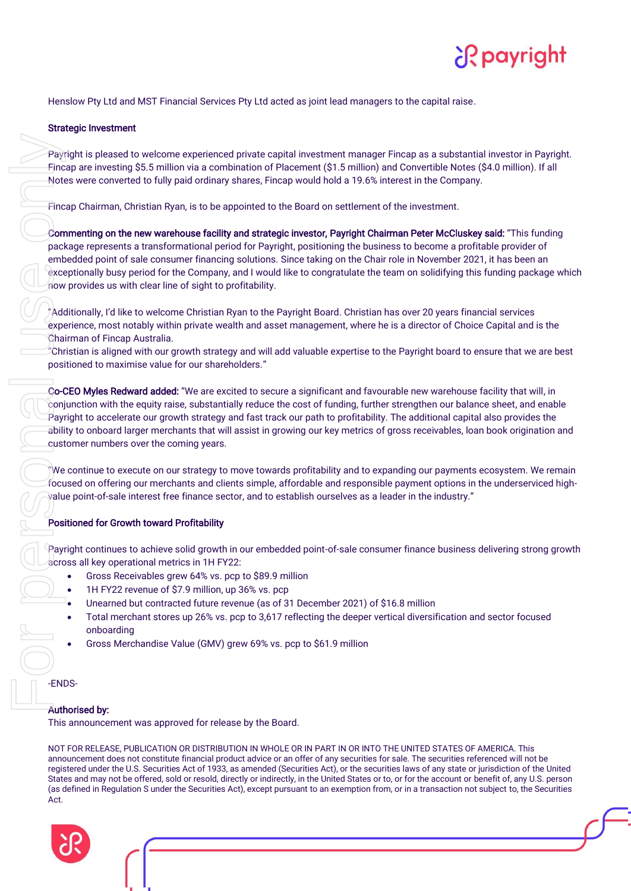

Henslow Pty Ltd and MST Financial Services Pty Ltd acted as joint lead managers to the capital raise.

# Strategic Investment

Payright is pleased to welcome experienced private capital investment manager Fincap as a substantial investor in Payright. Fincap are investing \$5.5 million via a combination of Placement (\$1.5 million) and Convertible Notes (\$4.0 million). If all Notes were converted to fully paid ordinary shares, Fincap would hold a 19.6% interest in the Company.

Fincap Chairman, Christian Ryan, is to be appointed to the Board on settlement of the investment.

Commenting on the new warehouse facility and strategic investor, Payright Chairman Peter McCluskey said: "This funding package represents a transformational period for Payright, positioning the business to become a profitable provider of embedded point of sale consumer financing solutions. Since taking on the Chair role in November 2021, it has been an exceptionally busy period for the Company, and I would like to congratulate the team on solidifying this funding package which now provides us with clear line of sight to profitability. Payr<br>Finc<br>Motter personal use of personal use of personal use of personal use of personal use of personal use of personal use of personal use of personal use of personal use of personal use of the personal use of the perso

"Additionally, I'd like to welcome Christian Ryan to the Payright Board. Christian has over 20 years financial services experience, most notably within private wealth and asset management, where he is a director of Choice Capital and is the Chairman of Fincap Australia.

 $^{\circ}$ Christian is aligned with our growth strategy and will add valuable expertise to the Payright board to ensure that we are best positioned to maximise value for our shareholders."

Co-CEO Myles Redward added: "We are excited to secure a significant and favourable new warehouse facility that will, in conjunction with the equity raise, substantially reduce the cost of funding, further strengthen our balance sheet, and enable Payright to accelerate our growth strategy and fast track our path to profitability. The additional capital also provides the ability to onboard larger merchants that will assist in growing our key metrics of gross receivables, loan book origination and customer numbers over the coming years.

"We continue to execute on our strategy to move towards profitability and to expanding our payments ecosystem. We remain focused on offering our merchants and clients simple, affordable and responsible payment options in the underserviced highvalue point-of-sale interest free finance sector, and to establish ourselves as a leader in the industry."

# Positioned for Growth toward Profitability

Payright continues to achieve solid growth in our embedded point-of-sale consumer finance business delivering strong growth across all key operational metrics in 1H FY22:

- Gross Receivables grew 64% vs. pcp to \$89.9 million
- 1H FY22 revenue of \$7.9 million, up 36% vs. pcp
- Unearned but contracted future revenue (as of 31 December 2021) of \$16.8 million
- Total merchant stores up 26% vs. pcp to 3,617 reflecting the deeper vertical diversification and sector focused onboarding
- Gross Merchandise Value (GMV) grew 69% vs. pcp to \$61.9 million

-ENDS-

# Authorised by:

This announcement was approved for release by the Board.

NOT FOR RELEASE, PUBLICATION OR DISTRIBUTION IN WHOLE OR IN PART IN OR INTO THE UNITED STATES OF AMERICA. This announcement does not constitute financial product advice or an offer of any securities for sale. The securities referenced will not be registered under the U.S. Securities Act of 1933, as amended (Securities Act), or the securities laws of any state or jurisdiction of the United States and may not be offered, sold or resold, directly or indirectly, in the United States or to, or for the account or benefit of, any U.S. person (as defined in Regulation S under the Securities Act), except pursuant to an exemption from, or in a transaction not subject to, the Securities Act.

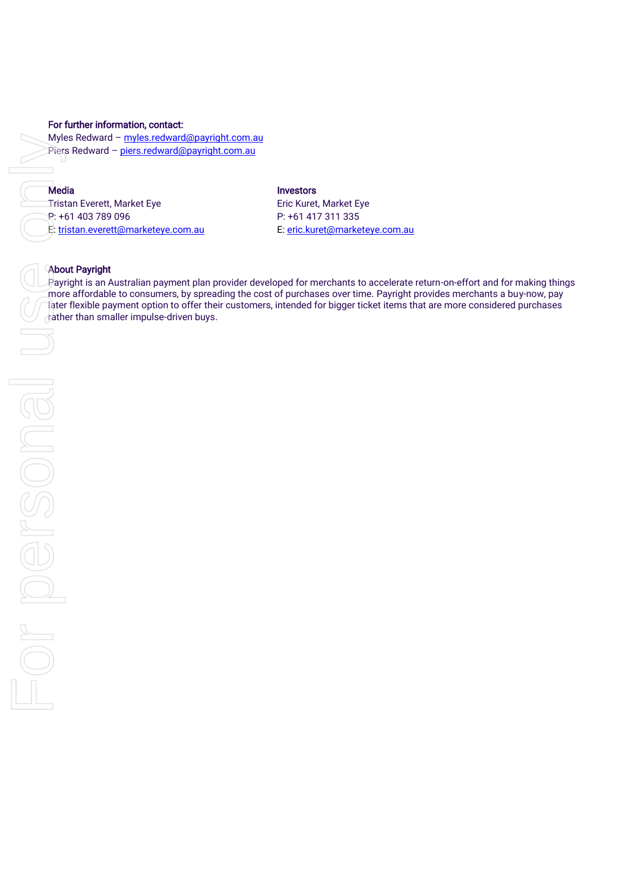#### For further information, contact:

Myles Redward - [myles.redward@payright.com.au](mailto:myles.redward@payright.com.au) Piers Redward - [piers.redward@payright.com.au](mailto:piers.redward@payright.com.au)

# **Media Investors**

Tristan Everett, Market Eye **Exercise Exercise Exercise Exercise Exercise Exercise Exercise Exercise A** P: +61 403 789 096 P: +61 417 311 335 E: [tristan.everett@marketeye.com.au](mailto:tristan.everett@marketeye.com.au) E: [eric.kuret@marketeye.com.au](mailto:eric.kuret@marketeye.com.au)

### About Payright

Payright is an Australian payment plan provider developed for merchants to accelerate return-on-effort and for making things more affordable to consumers, by spreading the cost of purchases over time. Payright provides merchants a buy-now, pay later flexible payment option to offer their customers, intended for bigger ticket items that are more considered purchases